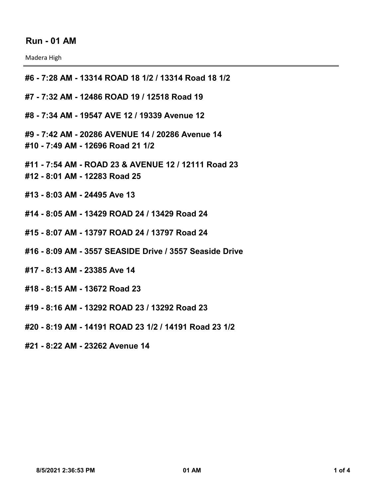## **Run - 01 AM**

Madera High

**#6 - 7:28 AM - 13314 ROAD 18 1/2 / 13314 Road 18 1/2 #7 - 7:32 AM - 12486 ROAD 19 / 12518 Road 19**

**#8 - 7:34 AM - 19547 AVE 12 / 19339 Avenue 12**

**#9 - 7:42 AM - 20286 AVENUE 14 / 20286 Avenue 14 #10 - 7:49 AM - 12696 Road 21 1/2**

**#11 - 7:54 AM - ROAD 23 & AVENUE 12 / 12111 Road 23 #12 - 8:01 AM - 12283 Road 25**

**#13 - 8:03 AM - 24495 Ave 13**

**#14 - 8:05 AM - 13429 ROAD 24 / 13429 Road 24**

**#15 - 8:07 AM - 13797 ROAD 24 / 13797 Road 24**

**#16 - 8:09 AM - 3557 SEASIDE Drive / 3557 Seaside Drive**

**#17 - 8:13 AM - 23385 Ave 14**

**#18 - 8:15 AM - 13672 Road 23**

**#19 - 8:16 AM - 13292 ROAD 23 / 13292 Road 23**

**#20 - 8:19 AM - 14191 ROAD 23 1/2 / 14191 Road 23 1/2**

**#21 - 8:22 AM - 23262 Avenue 14**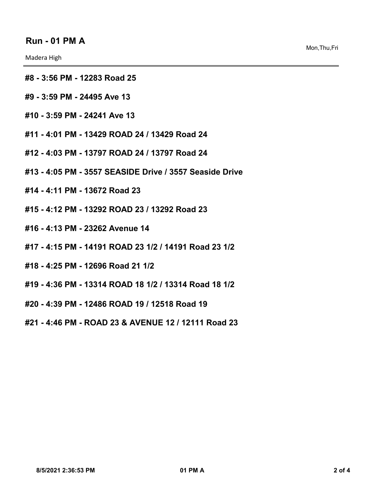Madera High

- **#8 3:56 PM 12283 Road 25**
- **#9 3:59 PM 24495 Ave 13**
- **#10 3:59 PM 24241 Ave 13**
- **#11 4:01 PM 13429 ROAD 24 / 13429 Road 24**
- **#12 4:03 PM 13797 ROAD 24 / 13797 Road 24**
- **#13 4:05 PM 3557 SEASIDE Drive / 3557 Seaside Drive**
- **#14 4:11 PM 13672 Road 23**
- **#15 4:12 PM 13292 ROAD 23 / 13292 Road 23**
- **#16 4:13 PM 23262 Avenue 14**
- **#17 4:15 PM 14191 ROAD 23 1/2 / 14191 Road 23 1/2**
- **#18 4:25 PM 12696 Road 21 1/2**
- **#19 4:36 PM 13314 ROAD 18 1/2 / 13314 Road 18 1/2**
- **#20 4:39 PM 12486 ROAD 19 / 12518 Road 19**

**#21 - 4:46 PM - ROAD 23 & AVENUE 12 / 12111 Road 23**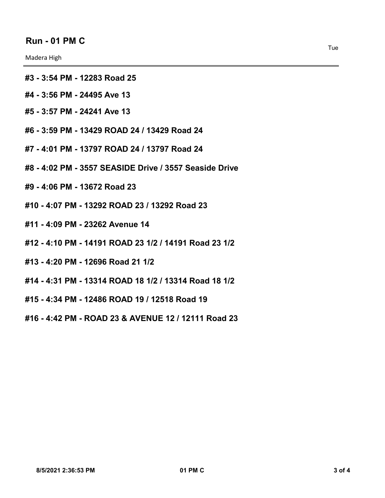Madera High

- **#3 3:54 PM 12283 Road 25**
- **#4 3:56 PM 24495 Ave 13**
- **#5 3:57 PM 24241 Ave 13**
- **#6 3:59 PM 13429 ROAD 24 / 13429 Road 24**
- **#7 4:01 PM 13797 ROAD 24 / 13797 Road 24**
- **#8 4:02 PM 3557 SEASIDE Drive / 3557 Seaside Drive**
- **#9 4:06 PM 13672 Road 23**
- **#10 4:07 PM 13292 ROAD 23 / 13292 Road 23**
- **#11 4:09 PM 23262 Avenue 14**
- **#12 4:10 PM 14191 ROAD 23 1/2 / 14191 Road 23 1/2**
- **#13 4:20 PM 12696 Road 21 1/2**
- **#14 4:31 PM 13314 ROAD 18 1/2 / 13314 Road 18 1/2**
- **#15 4:34 PM 12486 ROAD 19 / 12518 Road 19**
- **#16 4:42 PM ROAD 23 & AVENUE 12 / 12111 Road 23**